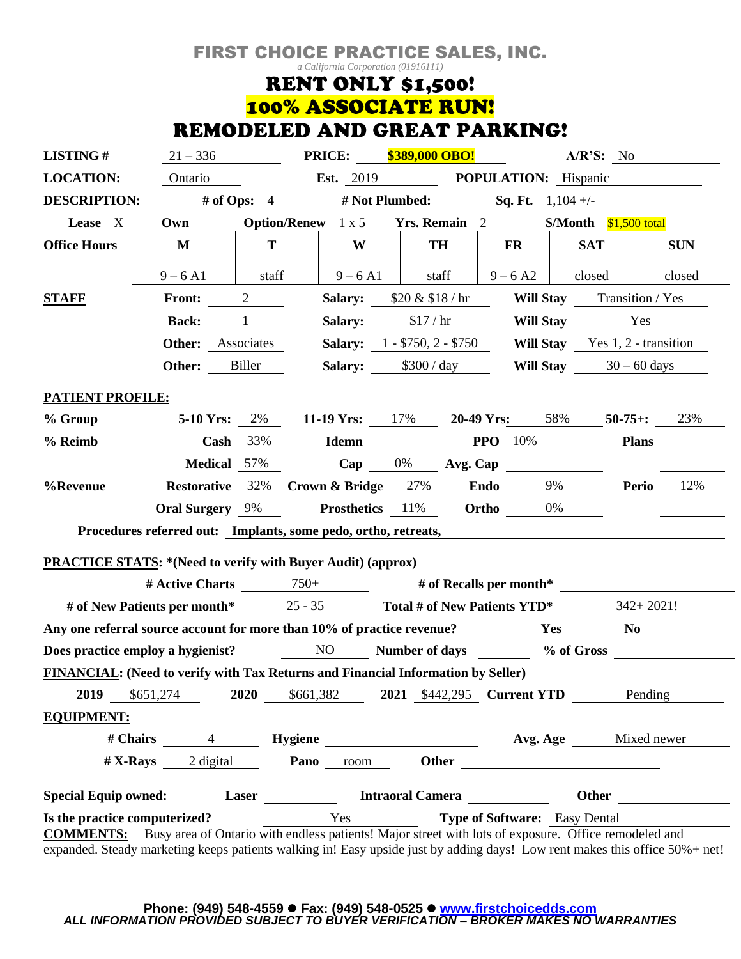## FIRST CHOICE PRACTICE SALES, INC.

*a California Corporation (01916111)*

# **RENT ONLY \$1,500!** 100% ASSOCIATE RUN! REMODELED AND GREAT PARKING!

| <b>LISTING#</b>                                                                                                                                                                                                  | $21 - 336$               |                                                                              | <b>PRICE:</b> \$389,000 OBO!                                       |                                |                |                                    | A/R'S: No                                                                                                                                                                                                                           |               |  |  |
|------------------------------------------------------------------------------------------------------------------------------------------------------------------------------------------------------------------|--------------------------|------------------------------------------------------------------------------|--------------------------------------------------------------------|--------------------------------|----------------|------------------------------------|-------------------------------------------------------------------------------------------------------------------------------------------------------------------------------------------------------------------------------------|---------------|--|--|
| <b>LOCATION:</b>                                                                                                                                                                                                 | Ontario                  |                                                                              |                                                                    | Est. 2019 POPULATION: Hispanic |                |                                    |                                                                                                                                                                                                                                     |               |  |  |
| <b>DESCRIPTION:</b>                                                                                                                                                                                              |                          | # of Ops: $4$                                                                |                                                                    |                                |                | # Not Plumbed: Sq. Ft. $1,104 +/-$ |                                                                                                                                                                                                                                     |               |  |  |
| Lease X                                                                                                                                                                                                          |                          | Own ______ Option/Renew 1 x 5 Yrs. Remain 2 ________ \$/Month \$1,500 total  |                                                                    |                                |                |                                    |                                                                                                                                                                                                                                     |               |  |  |
| <b>Office Hours</b>                                                                                                                                                                                              | $\mathbf{M}$             | T                                                                            | W                                                                  |                                | <b>TH</b>      | <b>FR</b>                          | <b>SAT</b>                                                                                                                                                                                                                          | <b>SUN</b>    |  |  |
|                                                                                                                                                                                                                  | $9 - 6$ A1               | staff                                                                        | $9 - 6$ A1                                                         |                                | staff          | $9 - 6A2$                          | closed                                                                                                                                                                                                                              | closed        |  |  |
| <b>STAFF</b>                                                                                                                                                                                                     | <b>Front:</b>            | $\overline{2}$                                                               | <b>Salary:</b> $$20 \& $18 / hr$                                   |                                |                |                                    | <b>Will Stay</b> Transition / Yes                                                                                                                                                                                                   |               |  |  |
|                                                                                                                                                                                                                  |                          | <b>Back:</b> 1                                                               |                                                                    | Salary: $$17/hr$               |                |                                    |                                                                                                                                                                                                                                     | Will Stay Tes |  |  |
|                                                                                                                                                                                                                  | <b>Other:</b> Associates |                                                                              |                                                                    |                                |                |                                    | <b>Salary:</b> $1 - $750$ , $2 - $750$ <b>Will Stay</b> Yes 1, $2$ -transition                                                                                                                                                      |               |  |  |
|                                                                                                                                                                                                                  | Other:                   | Biller                                                                       |                                                                    |                                |                |                                    | Salary: $$300 / day$ Will Stay $30 - 60$ days                                                                                                                                                                                       |               |  |  |
| <b>PATIENT PROFILE:</b>                                                                                                                                                                                          |                          |                                                                              |                                                                    |                                |                |                                    |                                                                                                                                                                                                                                     |               |  |  |
| % Group                                                                                                                                                                                                          |                          |                                                                              | 5-10 Yrs: $2\%$ 11-19 Yrs: $17\%$ 20-49 Yrs: $58\%$ 50-75+: $23\%$ |                                |                |                                    |                                                                                                                                                                                                                                     |               |  |  |
| % Reimb                                                                                                                                                                                                          |                          | Cash $33\%$                                                                  |                                                                    |                                |                | <b>Idemn</b> PPO 10%               |                                                                                                                                                                                                                                     | <b>Plans</b>  |  |  |
|                                                                                                                                                                                                                  | <b>Medical</b> 57%       |                                                                              |                                                                    |                                |                | Cap $0\%$ Avg. Cap                 |                                                                                                                                                                                                                                     |               |  |  |
| %Revenue                                                                                                                                                                                                         |                          |                                                                              | Restorative 32% Crown & Bridge 27% Endo 9% Perio 12%               |                                |                |                                    |                                                                                                                                                                                                                                     |               |  |  |
|                                                                                                                                                                                                                  | <b>Oral Surgery</b> 9%   |                                                                              | <b>Prosthetics</b> 11%                                             |                                |                | Ortho 0%                           |                                                                                                                                                                                                                                     |               |  |  |
| Procedures referred out: Implants, some pedo, ortho, retreats,                                                                                                                                                   |                          |                                                                              |                                                                    |                                |                |                                    |                                                                                                                                                                                                                                     |               |  |  |
|                                                                                                                                                                                                                  |                          |                                                                              |                                                                    |                                |                |                                    |                                                                                                                                                                                                                                     |               |  |  |
| <b>PRACTICE STATS: *(Need to verify with Buyer Audit) (approx)</b>                                                                                                                                               |                          |                                                                              |                                                                    |                                |                |                                    |                                                                                                                                                                                                                                     |               |  |  |
|                                                                                                                                                                                                                  |                          |                                                                              | # Active Charts $\frac{750+}{4}$ # of Recalls per month*           |                                |                |                                    |                                                                                                                                                                                                                                     |               |  |  |
|                                                                                                                                                                                                                  |                          | # of New Patients per month* 25 - 35 Total # of New Patients YTD* 342+ 2021! |                                                                    |                                |                |                                    |                                                                                                                                                                                                                                     |               |  |  |
|                                                                                                                                                                                                                  |                          | Any one referral source account for more than 10% of practice revenue?       |                                                                    |                                | Yes<br>$N_{0}$ |                                    |                                                                                                                                                                                                                                     |               |  |  |
| Does practice employ a hygienist? NO Number of days Number of days Number of days Number 2008 and 2008 Mumber of days<br><b>FINANCIAL:</b> (Need to verify with Tax Returns and Financial Information by Seller) |                          |                                                                              |                                                                    |                                |                |                                    |                                                                                                                                                                                                                                     |               |  |  |
|                                                                                                                                                                                                                  |                          |                                                                              |                                                                    |                                |                |                                    |                                                                                                                                                                                                                                     |               |  |  |
| 2019                                                                                                                                                                                                             | \$651,274                | 2020                                                                         | \$661,382                                                          |                                |                | 2021 \$442,295 Current YTD         |                                                                                                                                                                                                                                     | Pending       |  |  |
| <b>EQUIPMENT:</b>                                                                                                                                                                                                |                          |                                                                              |                                                                    |                                |                |                                    |                                                                                                                                                                                                                                     |               |  |  |
|                                                                                                                                                                                                                  |                          |                                                                              |                                                                    |                                |                |                                    |                                                                                                                                                                                                                                     |               |  |  |
|                                                                                                                                                                                                                  | $# X-Rays$ 2 digital     |                                                                              | Pano                                                               | room                           |                |                                    | <b>Other</b> control of the control of the control of the control of the control of the control of the control of the control of the control of the control of the control of the control of the control of the control of the cont |               |  |  |
| <b>Special Equip owned:</b>                                                                                                                                                                                      | Laser                    |                                                                              |                                                                    | <b>Intraoral Camera</b>        | Other          |                                    |                                                                                                                                                                                                                                     |               |  |  |
| Yes<br><b>Type of Software:</b> Easy Dental<br>Is the practice computerized?<br>Busy area of Ontario with endless patients! Major street with lots of exposure. Office remodeled and<br><b>COMMENTS:</b>         |                          |                                                                              |                                                                    |                                |                |                                    |                                                                                                                                                                                                                                     |               |  |  |
| expanded. Steady marketing keeps patients walking in! Easy upside just by adding days! Low rent makes this office 50%+ net!                                                                                      |                          |                                                                              |                                                                    |                                |                |                                    |                                                                                                                                                                                                                                     |               |  |  |